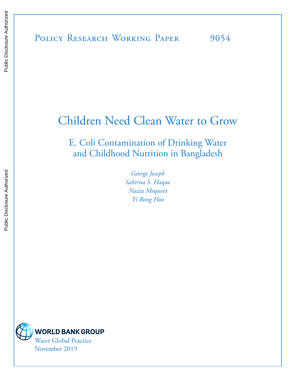Public Disclosure Authorized

Public Disclosure Authorized

# Children Need Clean Water to Grow

E. Coli Contamination of Drinking Water and Childhood Nutrition in Bangladesh

> *George Joseph Sabrina S. Haque Nazia Moqueet Yi Rong Hoo*

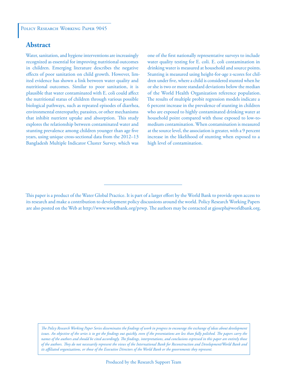#### **Abstract**

Water, sanitation, and hygiene interventions are increasingly recognized as essential for improving nutritional outcomes in children. Emerging literature describes the negative effects of poor sanitation on child growth. However, limited evidence has shown a link between water quality and nutritional outcomes. Similar to poor sanitation, it is plausible that water contaminated with E. coli could affect the nutritional status of children through various possible biological pathways, such as repeated episodes of diarrhea, environmental enteropathy, parasites, or other mechanisms that inhibit nutrient uptake and absorption. This study explores the relationship between contaminated water and stunting prevalence among children younger than age five years, using unique cross-sectional data from the 2012–13 Bangladesh Multiple Indicator Cluster Survey, which was

one of the first nationally representative surveys to include water quality testing for E. coli. E. coli contamination in drinking water is measured at household and source points. Stunting is measured using height-for-age z-scores for children under five, where a child is considered stunted when he or she is two or more standard deviations below the median of the World Health Organization reference population. The results of multiple probit regression models indicate a 6 percent increase in the prevalence of stunting in children who are exposed to highly contaminated drinking water at household point compared with those exposed to low-tomedium contamination. When contamination is measured at the source level, the association is greater, with a 9 percent increase in the likelihood of stunting when exposed to a high level of contamination.

*The Policy Research Working Paper Series disseminates the findings of work in progress to encourage the exchange of ideas about development*  issues. An objective of the series is to get the findings out quickly, even if the presentations are less than fully polished. The papers carry the *names of the authors and should be cited accordingly. The findings, interpretations, and conclusions expressed in this paper are entirely those of the authors. They do not necessarily represent the views of the International Bank for Reconstruction and Development/World Bank and its affiliated organizations, or those of the Executive Directors of the World Bank or the governments they represent.*

This paper is a product of the Water Global Practice. It is part of a larger effort by the World Bank to provide open access to its research and make a contribution to development policy discussions around the world. Policy Research Working Papers are also posted on the Web at http://www.worldbank.org/prwp. The authors may be contacted at gjoseph@worldbank.org.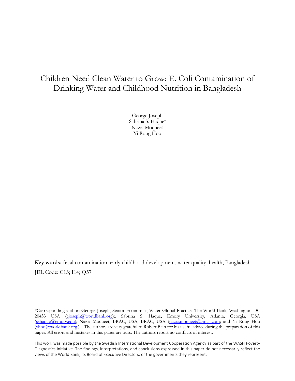# Children Need Clean Water to Grow: E. Coli Contamination of Drinking Water and Childhood Nutrition in Bangladesh

George Joseph Sabrina S. Haque\* Nazia Moqueet Yi Rong Hoo

**Key words:** fecal contamination, early childhood development, water quality, health, Bangladesh JEL Code: C13; I14; Q57

<sup>\*</sup>Corresponding author: George Joseph, Senior Economist, Water Global Practice, The World Bank, Washington DC 20433 USA (gjoseph@worldbank.org);. Sabrina S. Haque, Emory University, Atlanta, Georgia, USA (sshaque@emory.edu); Nazia Moqueet, BRAC, USA, BRAC, USA (nazia.moqueet@gmail.com; and Yi Rong Hoo (yhoo@worldbank.org ) . The authors are very grateful to Robert Bain for his useful advice during the preparation of this paper. All errors and mistakes in this paper are ours. The authors report no conflicts of interest.

This work was made possible by the Swedish International Development Cooperation Agency as part of the WASH Poverty Diagnostics Initiative. The findings, interpretations, and conclusions expressed in this paper do not necessarily reflect the views of the World Bank, its Board of Executive Directors, or the governments they represent.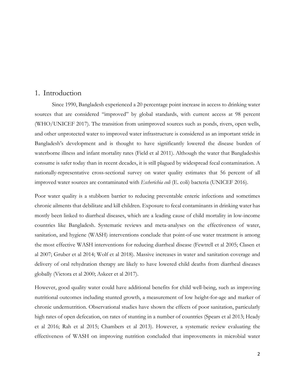#### 1. Introduction

Since 1990, Bangladesh experienced a 20 percentage point increase in access to drinking water sources that are considered "improved" by global standards, with current access at 98 percent (WHO/UNICEF 2017). The transition from unimproved sources such as ponds, rivers, open wells, and other unprotected water to improved water infrastructure is considered as an important stride in Bangladesh's development and is thought to have significantly lowered the disease burden of waterborne illness and infant mortality rates (Field et al 2011). Although the water that Bangladeshis consume is safer today than in recent decades, it is still plagued by widespread fecal contamination. A nationally-representative cross-sectional survey on water quality estimates that 56 percent of all improved water sources are contaminated with *Escherichia coli* (E. coli) bacteria (UNICEF 2016).

Poor water quality is a stubborn barrier to reducing preventable enteric infections and sometimes chronic ailments that debilitate and kill children. Exposure to fecal contaminants in drinking water has mostly been linked to diarrheal diseases, which are a leading cause of child mortality in low-income countries like Bangladesh. Systematic reviews and meta-analyses on the effectiveness of water, sanitation, and hygiene (WASH) interventions conclude that point-of-use water treatment is among the most effective WASH interventions for reducing diarrheal disease (Fewtrell et al 2005; Clasen et al 2007; Gruber et al 2014; Wolf et al 2018). Massive increases in water and sanitation coverage and delivery of oral rehydration therapy are likely to have lowered child deaths from diarrheal diseases globally (Victora et al 2000; Askeer et al 2017).

However, good quality water could have additional benefits for child well-being, such as improving nutritional outcomes including stunted growth, a measurement of low height-for-age and marker of chronic undernutrition. Observational studies have shown the effects of poor sanitation, particularly high rates of open defecation, on rates of stunting in a number of countries (Spears et al 2013; Heady et al 2016; Rah et al 2015; Chambers et al 2013). However, a systematic review evaluating the effectiveness of WASH on improving nutrition concluded that improvements in microbial water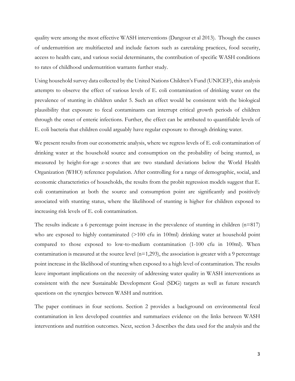quality were among the most effective WASH interventions (Dangour et al 2013). Though the causes of undernutrition are multifaceted and include factors such as caretaking practices, food security, access to health care, and various social determinants, the contribution of specific WASH conditions to rates of childhood undernutrition warrants further study.

Using household survey data collected by the United Nations Children's Fund (UNICEF), this analysis attempts to observe the effect of various levels of E. coli contamination of drinking water on the prevalence of stunting in children under 5. Such an effect would be consistent with the biological plausibility that exposure to fecal contaminants can interrupt critical growth periods of children through the onset of enteric infections. Further, the effect can be attributed to quantifiable levels of E. coli bacteria that children could arguably have regular exposure to through drinking water.

We present results from our econometric analysis, where we regress levels of E. coli contamination of drinking water at the household source and consumption on the probability of being stunted, as measured by height-for-age z-scores that are two standard deviations below the World Health Organization (WHO) reference population. After controlling for a range of demographic, social, and economic characteristics of households, the results from the probit regression models suggest that E. coli contamination at both the source and consumption point are significantly and positively associated with stunting status, where the likelihood of stunting is higher for children exposed to increasing risk levels of E. coli contamination.

The results indicate a 6 percentage point increase in the prevalence of stunting in children (n=817) who are exposed to highly contaminated  $(>100$  cfu in 100ml) drinking water at household point compared to those exposed to low-to-medium contamination (1-100 cfu in 100ml). When contamination is measured at the source level  $(n=1,293)$ , the association is greater with a 9 percentage point increase in the likelihood of stunting when exposed to a high level of contamination. The results leave important implications on the necessity of addressing water quality in WASH interventions as consistent with the new Sustainable Development Goal (SDG) targets as well as future research questions on the synergies between WASH and nutrition.

The paper continues in four sections. Section 2 provides a background on environmental fecal contamination in less developed countries and summarizes evidence on the links between WASH interventions and nutrition outcomes. Next, section 3 describes the data used for the analysis and the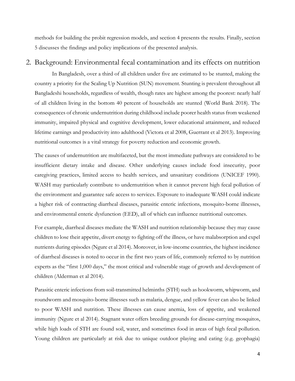methods for building the probit regression models, and section 4 presents the results. Finally, section 5 discusses the findings and policy implications of the presented analysis.

#### 2. Background: Environmental fecal contamination and its effects on nutrition

In Bangladesh, over a third of all children under five are estimated to be stunted, making the country a priority for the Scaling Up Nutrition (SUN) movement. Stunting is prevalent throughout all Bangladeshi households, regardless of wealth, though rates are highest among the poorest: nearly half of all children living in the bottom 40 percent of households are stunted (World Bank 2018). The consequences of chronic undernutrition during childhood include poorer health status from weakened immunity, impaired physical and cognitive development, lower educational attainment, and reduced lifetime earnings and productivity into adulthood (Victora et al 2008, Guerrant et al 2013). Improving nutritional outcomes is a vital strategy for poverty reduction and economic growth.

The causes of undernutrition are multifaceted, but the most immediate pathways are considered to be insufficient dietary intake and disease. Other underlying causes include food insecurity, poor caregiving practices, limited access to health services, and unsanitary conditions (UNICEF 1990). WASH may particularly contribute to undernutrition when it cannot prevent high fecal pollution of the environment and guarantee safe access to services. Exposure to inadequate WASH could indicate a higher risk of contracting diarrheal diseases, parasitic enteric infections, mosquito-borne illnesses, and environmental enteric dysfunction (EED), all of which can influence nutritional outcomes.

For example, diarrheal diseases mediate the WASH and nutrition relationship because they may cause children to lose their appetite, divert energy to fighting off the illness, or have malabsorption and expel nutrients during episodes (Ngure et al 2014). Moreover, in low-income countries, the highest incidence of diarrheal diseases is noted to occur in the first two years of life, commonly referred to by nutrition experts as the "first 1,000 days," the most critical and vulnerable stage of growth and development of children (Alderman et al 2014).

Parasitic enteric infections from soil-transmitted helminths (STH) such as hookworm, whipworm, and roundworm and mosquito-borne illnesses such as malaria, dengue, and yellow fever can also be linked to poor WASH and nutrition. These illnesses can cause anemia, loss of appetite, and weakened immunity (Ngure et al 2014). Stagnant water offers breeding grounds for disease-carrying mosquitos, while high loads of STH are found soil, water, and sometimes food in areas of high fecal pollution. Young children are particularly at risk due to unique outdoor playing and eating (e.g. geophagia)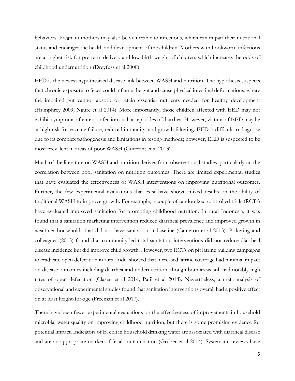behaviors. Pregnant mothers may also be vulnerable to infections, which can impair their nutritional status and endanger the health and development of the children. Mothers with hookworm infections are at higher risk for pre-term delivery and low-birth weight of children, which increases the odds of childhood undernutrition (Dreyfuss et al 2000).

EED is the newest hypothesized disease link between WASH and nutrition. The hypothesis suspects that chronic exposure to feces could inflame the gut and cause physical intestinal deformations, where the impaired gut cannot absorb or retain essential nutrients needed for healthy development (Humphrey 2009; Ngure et al 2014). More importantly, those children affected with EED may not exhibit symptoms of enteric infection such as episodes of diarrhea. However, victims of EED may be at high risk for vaccine failure, reduced immunity, and growth faltering. EED is difficult to diagnose due to its complex pathogenesis and limitations in testing methods; however, EED is suspected to be most prevalent in areas of poor WASH (Guerrant et al 2013).

Much of the literature on WASH and nutrition derives from observational studies, particularly on the correlation between poor sanitation on nutrition outcomes. There are limited experimental studies that have evaluated the effectiveness of WASH interventions on improving nutritional outcomes. Further, the few experimental evaluations that exist have shown mixed results on the ability of traditional WASH to improve growth. For example, a couple of randomized controlled trials (RCTs) have evaluated improved sanitation for promoting childhood nutrition. In rural Indonesia, it was found that a sanitation marketing intervention reduced diarrheal prevalence and improved growth in wealthier households that did not have sanitation at baseline (Cameron et al 2013). Pickering and colleagues (2015) found that community-led total sanitation interventions did not reduce diarrheal disease incidence but did improve child growth. However, two RCTs on pit latrine building campaigns to eradicate open defecation in rural India showed that increased latrine coverage had minimal impact on disease outcomes including diarrhea and undernutrition, though both areas still had notably high rates of open defecation (Clasen et al 2014; Patil et al 2014). Nevertheless, a meta-analysis of observational and experimental studies found that sanitation interventions overall had a positive effect on at least height-for-age (Freeman et al 2017).

There have been fewer experimental evaluations on the effectiveness of improvements in household microbial water quality on improving childhood nutrition, but there is some promising evidence for potential impact. Indicators of E. coli in household drinking water are associated with diarrheal disease and are an appropriate marker of fecal contamination (Gruber et al 2014). Systematic reviews have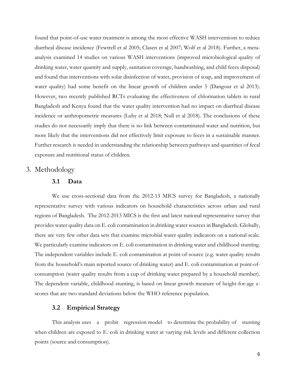found that point-of-use water treatment is among the most effective WASH interventions to reduce diarrheal disease incidence (Fewtrell et al 2005; Clasen et al 2007; Wolf et al 2018). Further, a metaanalysis examined 14 studies on various WASH interventions (improved microbiological quality of drinking water, water quantity and supply, sanitation coverage, handwashing, and child feces disposal) and found that interventions with solar disinfection of water, provision of soap, and improvement of water quality) had some benefit on the linear growth of children under 5 (Dangour et al 2013). However, two recently published RCTs evaluating the effectiveness of chlorination tablets in rural Bangladesh and Kenya found that the water quality intervention had no impact on diarrheal disease incidence or anthropometric measures (Luby et al 2018; Null et al 2018). The conclusions of these studies do not necessarily imply that there is no link between contaminated water and nutrition, but more likely that the interventions did not effectively limit exposure to feces in a sustainable manner. Further research is needed in understanding the relationship between pathways and quantities of fecal exposure and nutritional status of children.

#### 3. Methodology

#### **3.1 Data**

We use cross-sectional data from the 2012-13 MICS survey for Bangladesh, a nationally representative survey with various indicators on household characteristics across urban and rural regions of Bangladesh. The 2012-2013 MICS is the first and latest national representative survey that provides water quality data on E. coli contamination in drinking water sources in Bangladesh. Globally, there are very few other data sets that examine microbial water quality indicators on a national scale. We particularly examine indicators on E. coli contamination in drinking water and childhood stunting. The independent variables include E. coli contamination at point-of-source (e.g. water quality results from the household's main reported source of drinking water) and E. coli contamination at point-ofconsumption (water quality results from a cup of drinking water prepared by a household member). The dependent variable, childhood stunting, is based on linear growth measure of height-for-age zscores that are two standard deviations below the WHO reference population.

#### **3.2 Empirical Strategy**

This analysis uses a probit regression model to determine the probability of stunting when children are exposed to E. coli in drinking water at varying risk levels and different collection points (source and consumption).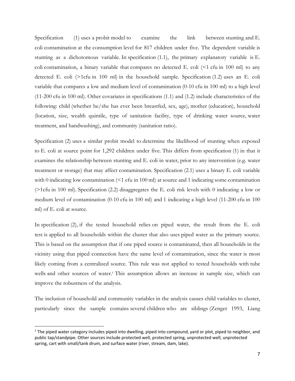Specification (1) uses a probit model to examine the link between stunting and E. coli contamination at the consumption level for 817 children under five. The dependent variable is stunting as a dichotomous variable. In specification (1.1), the primary explanatory variable is E. coli contamination, a binary variable that compares no detected E. coli  $\leq 1$  cfu in 100 ml) to any detected E. coli (>1cfu in 100 ml) in the household sample. Specification (1.2) uses an E. coli variable that compares a low and medium level of contamination (0-10 cfu in 100 ml) to a high level (11-200 cfu in 100 ml). Other covariates in specifications (1.1) and (1.2) include characteristics of the following: child (whether he/she has ever been breastfed, sex, age), mother (education), household (location, size, wealth quintile, type of sanitation facility, type of drinking water source, water treatment, and handwashing), and community (sanitation ratio).

Specification (2) uses a similar probit model to determine the likelihood of stunting when exposed to E. coli at source point for 1,292 children under five. This differs from specification (1) in that it examines the relationship between stunting and E. coli in water, prior to any intervention (e.g. water treatment or storage) that may affect contamination. Specification (2.1) uses a binary E. coli variable with 0 indicating low contamination  $\leq 1$  cfu in 100 ml) at source and 1 indicating some contamination (>1cfu in 100 ml). Specification (2.2) disaggregates the E. coli risk levels with 0 indicating a low or medium level of contamination (0-10 cfu in 100 ml) and 1 indicating a high level (11-200 cfu in 100 ml) of E. coli at source.

In specification (2), if the tested household relies on piped water, the result from the E. coli test is applied to all households within the cluster that also uses piped water as the primary source. This is based on the assumption that if one piped source is contaminated, then all households in the vicinity using that piped connection have the same level of contamination, since the water is most likely coming from a centralized source. This rule was not applied to tested households with tube wells and other sources of water.1 This assumption allows an increase in sample size, which can improve the robustness of the analysis.

The inclusion of household and community variables in the analysis causes child variables to cluster, particularly since the sample contains several children who are siblings (Zenger 1993, Liang

 $1$  The piped water category includes piped into dwelling, piped into compound, yard or plot, piped to neighbor, and public tap/standpipe. Other sources include protected well, protected spring, unprotected well, unprotected spring, cart with small/tank drum, and surface water (river, stream, dam, lake).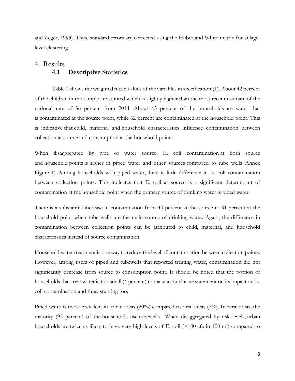and Zeger, 1993). Thus, standard errors are corrected using the Huber and White matrix for villagelevel clustering.

# 4. Results **4.1 Descriptive Statistics**

Table 1 shows the weighted mean values of the variables in specification (1). About 42 percent of the children in the sample are stunted which is slightly higher than the most recent estimate of the national rate of 36 percent from 2014. About 43 percent of the households use water that is contaminated at the source point, while 62 percent are contaminated at the household point. This is indicative that child, maternal and household characteristics influence contamination between collection at source and consumption at the household points.

When disaggregated by type of water source, E. coli contamination at both source and household points is higher in piped water and other sources compared to tube wells (Annex Figure 1). Among households with piped water, there is little difference in E. coli contamination between collection points. This indicates that E. coli at source is a significant determinant of contamination at the household point when the primary source of drinking water is piped water.

There is a substantial increase in contamination from 40 percent at the source to 61 percent at the household point when tube wells are the main source of drinking water. Again, the difference in contamination between collection points can be attributed to child, maternal, and household characteristics instead of source contamination.

Household water treatment is one way to reduce the level of contamination between collection points. However, among users of piped and tubewells that reported treating water, contamination did not significantly decrease from source to consumption point. It should be noted that the portion of households that treat water is too small (4 percent) to make a conclusive statement on its impact on E. coli contamination and thus, stunting too.

Piped water is more prevalent in urban areas (20%) compared to rural areas (2%). In rural areas, the majority (93 percent) of the households use tubewells. When disaggregated by risk levels, urban households are twice as likely to have very high levels of E. coli (>100 cfu in 100 ml) compared to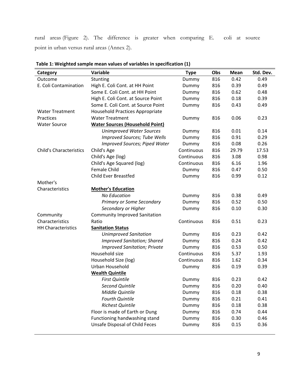rural areas (Figure 2). The difference is greater when comparing E. coli at source point in urban versus rural areas (Annex 2).

| Category                       | Variable                               | <b>Type</b> | Obs | Mean  | Std. Dev. |
|--------------------------------|----------------------------------------|-------------|-----|-------|-----------|
| Outcome                        | Stunting                               | Dummy       | 816 | 0.42  | 0.49      |
| E. Coli Contamination          | High E. Coli Cont. at HH Point         | Dummy       | 816 | 0.39  | 0.49      |
|                                | Some E. Coli Cont. at HH Point         | Dummy       | 816 | 0.62  | 0.48      |
|                                | High E. Coli Cont. at Source Point     | Dummy       | 816 | 0.18  | 0.39      |
|                                | Some E. Coli Cont. at Source Point     | Dummy       | 816 | 0.43  | 0.49      |
| <b>Water Treatment</b>         | Household Practices Appropriate        |             |     |       |           |
| Practices                      | <b>Water Treatment</b>                 | Dummy       | 816 | 0.06  | 0.23      |
| <b>Water Source</b>            | <b>Water Sources (Household Point)</b> |             |     |       |           |
|                                | <b>Unimproved Water Sources</b>        | Dummy       | 816 | 0.01  | 0.14      |
|                                | <b>Improved Sources; Tube Wells</b>    | Dummy       | 816 | 0.91  | 0.29      |
|                                | <b>Improved Sources; Piped Water</b>   | Dummy       | 816 | 0.08  | 0.26      |
| <b>Child's Characteristics</b> | Child's Age                            | Continuous  | 816 | 29.79 | 17.53     |
|                                | Child's Age (log)                      | Continuous  | 816 | 3.08  | 0.98      |
|                                | Child's Age Squared (log)              | Continuous  | 816 | 6.16  | 1.96      |
|                                | <b>Female Child</b>                    | Dummy       | 816 | 0.47  | 0.50      |
|                                | <b>Child Ever Breastfed</b>            | Dummy       | 816 | 0.99  | 0.12      |
| Mother's                       |                                        |             |     |       |           |
| Characteristics                | <b>Mother's Education</b>              |             |     |       |           |
|                                | <b>No Education</b>                    | Dummy       | 816 | 0.38  | 0.49      |
|                                | Primary or Some Secondary              | Dummy       | 816 | 0.52  | 0.50      |
|                                | Secondary or Higher                    | Dummy       | 816 | 0.10  | 0.30      |
| Community                      | <b>Community Improved Sanitation</b>   |             |     |       |           |
| Characteristics                | Ratio                                  | Continuous  | 816 | 0.51  | 0.23      |
| <b>HH Characteristics</b>      | <b>Sanitation Status</b>               |             |     |       |           |
|                                | <b>Unimproved Sanitation</b>           | Dummy       | 816 | 0.23  | 0.42      |
|                                | <b>Improved Sanitation; Shared</b>     | Dummy       | 816 | 0.24  | 0.42      |
|                                | <b>Improved Sanitation; Private</b>    | Dummy       | 816 | 0.53  | 0.50      |
|                                | Household size                         | Continuous  | 816 | 5.37  | 1.93      |
|                                | Household Size (log)                   | Continuous  | 816 | 1.62  | 0.34      |
|                                | Urban Household                        | Dummy       | 816 | 0.19  | 0.39      |
|                                | <b>Wealth Quintile</b>                 |             |     |       |           |
|                                | <b>First Quintile</b>                  | Dummy       | 816 | 0.23  | 0.42      |
|                                | <b>Second Quintile</b>                 | Dummy       | 816 | 0.20  | 0.40      |
|                                | Middle Quintile                        | Dummy       | 816 | 0.18  | 0.38      |
|                                | <b>Fourth Quintile</b>                 | Dummy       | 816 | 0.21  | 0.41      |
|                                | <b>Richest Quintile</b>                | Dummy       | 816 | 0.18  | 0.38      |
|                                | Floor is made of Earth or Dung         | Dummy       | 816 | 0.74  | 0.44      |
|                                | Functioning handwashing stand          | Dummy       | 816 | 0.30  | 0.46      |
|                                | <b>Unsafe Disposal of Child Feces</b>  | Dummy       | 816 | 0.15  | 0.36      |
|                                |                                        |             |     |       |           |

**Table 1: Weighted sample mean values of variables in specification (1)**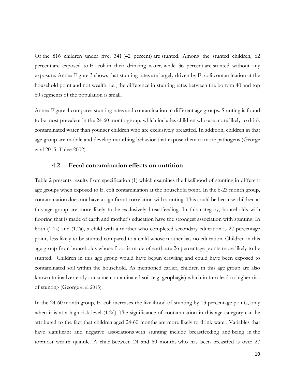Of the 816 children under five, 341 (42 percent) are stunted. Among the stunted children, 62 percent are exposed to E. coli in their drinking water, while 36 percent are stunted without any exposure. Annex Figure 3 shows that stunting rates are largely driven by E. coli contamination at the household point and not wealth, i.e., the difference in stunting rates between the bottom 40 and top 60 segments of the population is small.

Annex Figure 4 compares stunting rates and contamination in different age groups. Stunting is found to be most prevalent in the 24-60 month group, which includes children who are more likely to drink contaminated water than younger children who are exclusively breastfed. In addition, children in that age group are mobile and develop mouthing behavior that expose them to more pathogens (George et al 2015, Tulve 2002).

#### **4.2 Fecal contamination effects on nutrition**

Table 2 presents results from specification (1) which examines the likelihood of stunting in different age groups when exposed to E. coli contamination at the household point. In the 6-23 month group, contamination does not have a significant correlation with stunting. This could be because children at this age group are more likely to be exclusively breastfeeding. In this category, households with flooring that is made of earth and mother's education have the strongest association with stunting. In both (1.1a) and (1.2a), a child with a mother who completed secondary education is 27 percentage points less likely to be stunted compared to a child whose mother has no education. Children in this age group from households whose floor is made of earth are 26 percentage points more likely to be stunted. Children in this age group would have begun crawling and could have been exposed to contaminated soil within the household. As mentioned earlier, children in this age group are also known to inadvertently consume contaminated soil (e.g. geophagia) which in turn lead to higher risk of stunting (George et al 2015).

In the 24-60 month group, E. coli increases the likelihood of stunting by 13 percentage points, only when it is at a high risk level (1.2d). The significance of contamination in this age category can be attributed to the fact that children aged 24-60 months are more likely to drink water. Variables that have significant and negative associations with stunting include breastfeeding and being in the topmost wealth quintile. A child between 24 and 60 months who has been breastfed is over 27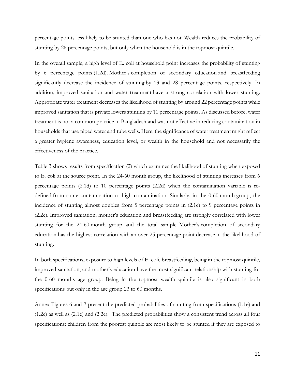percentage points less likely to be stunted than one who has not. Wealth reduces the probability of stunting by 26 percentage points, but only when the household is in the topmost quintile.

In the overall sample, a high level of E. coli at household point increases the probability of stunting by 6 percentage points (1.2d). Mother's completion of secondary education and breastfeeding significantly decrease the incidence of stunting by 13 and 28 percentage points, respectively. In addition, improved sanitation and water treatment have a strong correlation with lower stunting. Appropriate water treatment decreases the likelihood of stunting by around 22 percentage points while improved sanitation that is private lowers stunting by 11 percentage points. As discussed before, water treatment is not a common practice in Bangladesh and was not effective in reducing contamination in households that use piped water and tube wells. Here, the significance of water treatment might reflect a greater hygiene awareness, education level, or wealth in the household and not necessarily the effectiveness of the practice.

Table 3 shows results from specification (2) which examines the likelihood of stunting when exposed to E. coli at the source point. In the 24-60 month group, the likelihood of stunting increases from 6 percentage points (2.1d) to 10 percentage points (2.2d) when the contamination variable is redefined from some contamination to high contamination. Similarly, in the 0-60 month group, the incidence of stunting almost doubles from 5 percentage points in (2.1e) to 9 percentage points in (2.2e). Improved sanitation, mother's education and breastfeeding are strongly correlated with lower stunting for the 24-60 month group and the total sample. Mother's completion of secondary education has the highest correlation with an over 25 percentage point decrease in the likelihood of stunting.

In both specifications, exposure to high levels of E. coli, breastfeeding, being in the topmost quintile, improved sanitation, and mother's education have the most significant relationship with stunting for the 0-60 months age group. Being in the topmost wealth quintile is also significant in both specifications but only in the age group 23 to 60 months.

Annex Figures 6 and 7 present the predicted probabilities of stunting from specifications (1.1e) and (1.2e) as well as (2.1e) and (2.2e). The predicted probabilities show a consistent trend across all four specifications: children from the poorest quintile are most likely to be stunted if they are exposed to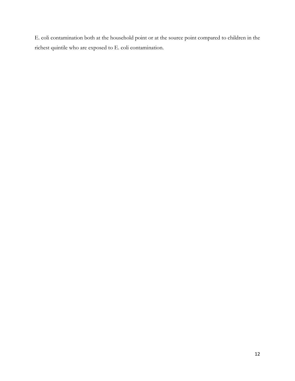E. coli contamination both at the household point or at the source point compared to children in the richest quintile who are exposed to E. coli contamination.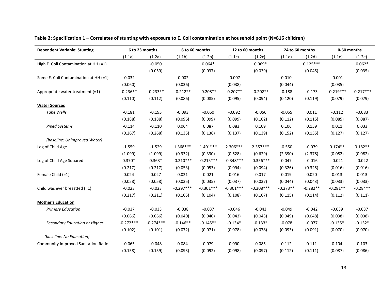| <b>Dependent Variable: Stunting</b>        |             | 6 to 23 months | 6 to 60 months |             | 12 to 60 months |             | 24 to 60 months |            | 0-60 months |             |
|--------------------------------------------|-------------|----------------|----------------|-------------|-----------------|-------------|-----------------|------------|-------------|-------------|
|                                            | (1.1a)      | (1.2a)         | (1.1b)         | (1.2b)      | (1.1c)          | (1.2c)      | (1.1d)          | (1.2d)     | (1.1e)      | (1.2e)      |
| High E. Coli Contamination at HH (=1)      |             | $-0.050$       |                | $0.064*$    |                 | $0.069*$    |                 | $0.125***$ |             | $0.062*$    |
|                                            |             | (0.059)        |                | (0.037)     |                 | (0.039)     |                 | (0.045)    |             | (0.035)     |
| Some E. Coli Contamination at HH (=1)      | $-0.032$    |                | $-0.002$       |             | $-0.007$        |             | 0.010           |            | $-0.001$    |             |
|                                            | (0.060)     |                | (0.036)        |             | (0.038)         |             | (0.044)         |            | (0.035)     |             |
| Appropriate water treatment (=1)           | $-0.236**$  | $-0.233**$     | $-0.212**$     | $-0.208**$  | $-0.207**$      | $-0.202**$  | $-0.188$        | $-0.173$   | $-0.219***$ | $-0.217***$ |
|                                            | (0.110)     | (0.112)        | (0.086)        | (0.085)     | (0.095)         | (0.094)     | (0.120)         | (0.119)    | (0.079)     | (0.079)     |
| <b>Water Sources</b>                       |             |                |                |             |                 |             |                 |            |             |             |
| <b>Tube Wells</b>                          | $-0.181$    | $-0.195$       | $-0.093$       | $-0.060$    | $-0.092$        | $-0.056$    | $-0.055$        | 0.011      | $-0.112$    | $-0.083$    |
|                                            | (0.188)     | (0.188)        | (0.096)        | (0.099)     | (0.099)         | (0.102)     | (0.112)         | (0.115)    | (0.085)     | (0.087)     |
| <b>Piped Systems</b>                       | $-0.114$    | $-0.110$       | 0.064          | 0.087       | 0.083           | 0.109       | 0.106           | 0.159      | 0.011       | 0.033       |
|                                            | (0.267)     | (0.268)        | (0.135)        | (0.136)     | (0.137)         | (0.139)     | (0.152)         | (0.155)    | (0.127)     | (0.127)     |
| (baseline: Unimproved Water)               |             |                |                |             |                 |             |                 |            |             |             |
| Log of Child Age                           | $-1.559$    | $-1.529$       | $1.368***$     | $1.401***$  | $2.306***$      | $2.357***$  | $-0.550$        | $-0.079$   | $0.174**$   | $0.182**$   |
|                                            | (1.099)     | (1.099)        | (0.332)        | (0.330)     | (0.628)         | (0.629)     | (2.390)         | (2.378)    | (0.082)     | (0.082)     |
| Log of Child Age Squared                   | $0.370*$    | $0.363*$       | $-0.210***$    | $-0.215***$ | $-0.348***$     | $-0.356***$ | 0.047           | $-0.016$   | $-0.021$    | $-0.022$    |
|                                            | (0.217)     | (0.217)        | (0.053)        | (0.053)     | (0.094)         | (0.094)     | (0.326)         | (0.325)    | (0.016)     | (0.016)     |
| Female Child (=1)                          | 0.024       | 0.027          | 0.021          | 0.021       | 0.016           | 0.017       | 0.019           | 0.020      | 0.013       | 0.013       |
|                                            | (0.058)     | (0.058)        | (0.035)        | (0.035)     | (0.037)         | (0.037)     | (0.044)         | (0.043)    | (0.033)     | (0.033)     |
| Child was ever breastfed (=1)              | $-0.023$    | $-0.023$       | $-0.297***$    | $-0.301***$ | $-0.301***$     | $-0.308***$ | $-0.273**$      | $-0.282**$ | $-0.281**$  | $-0.284**$  |
|                                            | (0.217)     | (0.211)        | (0.105)        | (0.104)     | (0.108)         | (0.107)     | (0.115)         | (0.114)    | (0.112)     | (0.111)     |
| <b>Mother's Education</b>                  |             |                |                |             |                 |             |                 |            |             |             |
| <b>Primary Education</b>                   | $-0.037$    | $-0.033$       | $-0.038$       | $-0.037$    | $-0.046$        | $-0.043$    | $-0.049$        | $-0.042$   | $-0.039$    | $-0.037$    |
|                                            | (0.066)     | (0.066)        | (0.040)        | (0.040)     | (0.043)         | (0.043)     | (0.049)         | (0.048)    | (0.038)     | (0.038)     |
| Secondary Education or Higher              | $-0.272***$ | $-0.274***$    | $-0.146**$     | $-0.145**$  | $-0.134*$       | $-0.133*$   | $-0.078$        | $-0.077$   | $-0.135*$   | $-0.132*$   |
|                                            | (0.102)     | (0.101)        | (0.072)        | (0.071)     | (0.078)         | (0.078)     | (0.093)         | (0.091)    | (0.070)     | (0.070)     |
| (baseline: No Education)                   |             |                |                |             |                 |             |                 |            |             |             |
| <b>Community Improved Sanitation Ratio</b> | $-0.065$    | $-0.048$       | 0.084          | 0.079       | 0.090           | 0.085       | 0.112           | 0.111      | 0.104       | 0.103       |
|                                            | (0.158)     | (0.159)        | (0.093)        | (0.092)     | (0.098)         | (0.097)     | (0.112)         | (0.111)    | (0.087)     | (0.086)     |

Table 2: Specification 1 – Correlates of stunting with exposure to E. Coli contamination at household point (N=816 children)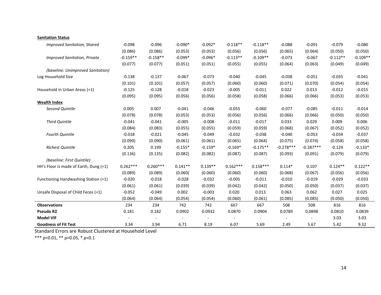| <b>Sanitation Status</b>               |            |            |           |           |            |            |             |                          |            |            |
|----------------------------------------|------------|------------|-----------|-----------|------------|------------|-------------|--------------------------|------------|------------|
| <b>Improved Sanitation, Shared</b>     | $-0.098$   | $-0.096$   | $-0.090*$ | $-0.092*$ | $-0.118**$ | $-0.118**$ | $-0.088$    | $-0.091$                 | $-0.079$   | $-0.080$   |
|                                        | (0.086)    | (0.086)    | (0.053)   | (0.053)   | (0.056)    | (0.056)    | (0.065)     | (0.064)                  | (0.050)    | (0.050)    |
| <b>Improved Sanitation, Private</b>    | $-0.159**$ | $-0.158**$ | $-0.099*$ | $-0.096*$ | $-0.113**$ | $-0.109**$ | $-0.073$    | $-0.067$                 | $-0.112**$ | $-0.109**$ |
|                                        | (0.077)    | (0.077)    | (0.051)   | (0.051)   | (0.055)    | (0.055)    | (0.064)     | (0.063)                  | (0.049)    | (0.049)    |
| (baseline: Unimproved Sanitation)      |            |            |           |           |            |            |             |                          |            |            |
| Log Household Size                     | $-0.138$   | $-0.137$   | $-0.067$  | $-0.073$  | $-0.040$   | $-0.045$   | $-0.038$    | $-0.051$                 | $-0.035$   | $-0.041$   |
|                                        | (0.101)    | (0.101)    | (0.057)   | (0.057)   | (0.060)    | (0.060)    | (0.071)     | (0.070)                  | (0.054)    | (0.054)    |
| Household in Urban Areas (=1)          | $-0.125$   | $-0.128$   | $-0.018$  | $-0.023$  | $-0.005$   | $-0.011$   | 0.022       | 0.013                    | $-0.012$   | $-0.015$   |
|                                        | (0.095)    | (0.095)    | (0.056)   | (0.056)   | (0.058)    | (0.058)    | (0.066)     | (0.066)                  | (0.053)    | (0.053)    |
| <b>Wealth Index</b>                    |            |            |           |           |            |            |             |                          |            |            |
| Second Quintile                        | 0.005      | 0.007      | $-0.041$  | $-0.046$  | $-0.055$   | $-0.060$   | $-0.077$    | $-0.085$                 | $-0.011$   | $-0.014$   |
|                                        | (0.078)    | (0.078)    | (0.053)   | (0.053)   | (0.056)    | (0.056)    | (0.066)     | (0.066)                  | (0.050)    | (0.050)    |
| <b>Third Quintile</b>                  | $-0.041$   | $-0.041$   | $-0.005$  | $-0.008$  | $-0.011$   | $-0.017$   | 0.033       | 0.029                    | 0.009      | 0.006      |
|                                        | (0.084)    | (0.083)    | (0.055)   | (0.055)   | (0.059)    | (0.059)    | (0.068)     | (0.067)                  | (0.052)    | (0.052)    |
| <b>Fourth Quintile</b>                 | $-0.018$   | $-0.021$   | $-0.045$  | $-0.049$  | $-0.032$   | $-0.038$   | $-0.040$    | $-0.053$                 | $-0.034$   | $-0.037$   |
|                                        | (0.090)    | (0.090)    | (0.061)   | (0.061)   | (0.065)    | (0.064)    | (0.075)     | (0.074)                  | (0.058)    | (0.058)    |
| <b>Richest Quintile</b>                | 0.205      | 0.199      | $-0.155*$ | $-0.159*$ | $-0.169*$  | $-0.175**$ | $-0.278***$ | $-0.287***$              | $-0.129$   | $-0.133*$  |
|                                        | (0.136)    | (0.135)    | (0.082)   | (0.082)   | (0.087)    | (0.087)    | (0.093)     | (0.091)                  | (0.079)    | (0.079)    |
| (baseline: First Quintile)             |            |            |           |           |            |            |             |                          |            |            |
| HH's Floor is made of Earth, Dung (=1) | $0.262***$ | $0.260***$ | $0.141**$ | $0.139**$ | $0.162***$ | $0.158***$ | $0.114*$    | 0.107                    | $0.124**$  | $0.122**$  |
|                                        | (0.089)    | (0.089)    | (0.060)   | (0.060)   | (0.060)    | (0.060)    | (0.068)     | (0.067)                  | (0.056)    | (0.056)    |
| Functioning Handwashing Station (=1)   | $-0.020$   | $-0.018$   | $-0.028$  | $-0.032$  | $-0.005$   | $-0.011$   | $-0.010$    | $-0.019$                 | $-0.029$   | $-0.033$   |
|                                        | (0.061)    | (0.061)    | (0.039)   | (0.039)   | (0.042)    | (0.042)    | (0.050)     | (0.050)                  | (0.037)    | (0.037)    |
| Unsafe Disposal of Child Feces (=1)    | $-0.052$   | $-0.049$   | 0.002     | $-0.003$  | 0.020      | 0.013      | 0.063       | 0.062                    | 0.027      | 0.025      |
|                                        | (0.064)    | (0.064)    | (0.054)   | (0.054)   | (0.060)    | (0.061)    | (0.085)     | (0.085)                  | (0.050)    | (0.050)    |
| <b>Observations</b>                    | 234        | 234        | 742       | 742       | 667        | 667        | 508         | 508                      | 816        | 816        |
| Pseudo R2                              | 0.181      | 0.182      | 0.0902    | 0.0932    | 0.0870     | 0.0904     | 0.0789      | 0.0898                   | 0.0810     | 0.0839     |
| <b>Model VIF</b>                       |            |            |           |           |            |            |             | $\overline{\phantom{a}}$ | 3.03       | 3.03       |
| <b>Goodness of Fit Test</b>            | 3.34       | 3.94       | 6.71      | 8.19      | 6.07       | 5.69       | 2.49        | 5.67                     | 5.42       | 9.32       |

Standard Errors are Robust Clustered at Household Level

\*\*\* p<0.01, \*\* p<0.05, \* p<0.1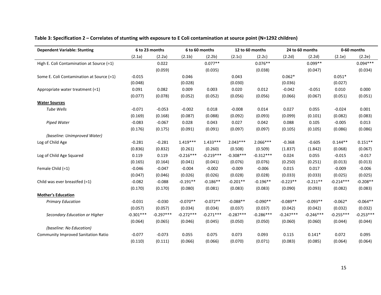| <b>Dependent Variable: Stunting</b>        |             | 6 to 23 months |             | 6 to 60 months |             | 12 to 60 months |             | 24 to 60 months |             | 0-60 months |  |
|--------------------------------------------|-------------|----------------|-------------|----------------|-------------|-----------------|-------------|-----------------|-------------|-------------|--|
|                                            | (2.1a)      | (2.2a)         | (2.1b)      | (2.2b)         | (2.1c)      | (2.2c)          | (2.2d)      | (2.2d)          | (2.1e)      | (2.2e)      |  |
| High E. Coli Contamination at Source (=1)  |             | 0.022          |             | $0.077**$      |             | $0.076**$       |             | $0.099**$       |             | $0.094***$  |  |
|                                            |             | (0.059)        |             | (0.035)        |             | (0.038)         |             | (0.047)         |             | (0.034)     |  |
| Some E. Coli Contamination at Source (=1)  | $-0.015$    |                | 0.046       |                | 0.043       |                 | $0.062*$    |                 | $0.051*$    |             |  |
|                                            | (0.048)     |                | (0.028)     |                | (0.030)     |                 | (0.036)     |                 | (0.027)     |             |  |
| Appropriate water treatment (=1)           | 0.091       | 0.082          | 0.009       | 0.003          | 0.020       | 0.012           | $-0.042$    | $-0.051$        | 0.010       | 0.000       |  |
|                                            | (0.077)     | (0.078)        | (0.052)     | (0.052)        | (0.056)     | (0.056)         | (0.066)     | (0.067)         | (0.051)     | (0.051)     |  |
| <b>Water Sources</b>                       |             |                |             |                |             |                 |             |                 |             |             |  |
| <b>Tube Wells</b>                          | $-0.071$    | $-0.053$       | $-0.002$    | 0.018          | $-0.008$    | 0.014           | 0.027       | 0.055           | $-0.024$    | 0.001       |  |
|                                            | (0.169)     | (0.168)        | (0.087)     | (0.088)        | (0.092)     | (0.093)         | (0.099)     | (0.101)         | (0.082)     | (0.083)     |  |
| <b>Piped Water</b>                         | $-0.083$    | $-0.067$       | 0.028       | 0.043          | 0.027       | 0.042           | 0.088       | 0.105           | $-0.005$    | 0.013       |  |
|                                            | (0.176)     | (0.175)        | (0.091)     | (0.091)        | (0.097)     | (0.097)         | (0.105)     | (0.105)         | (0.086)     | (0.086)     |  |
| (baseline: Unimproved Water)               |             |                |             |                |             |                 |             |                 |             |             |  |
| Log of Child Age                           | $-0.281$    | $-0.281$       | $1.419***$  | $1.433***$     | $2.043***$  | $2.066***$      | $-0.368$    | $-0.605$        | $0.144**$   | $0.151**$   |  |
|                                            | (0.836)     | (0.832)        | (0.261)     | (0.260)        | (0.508)     | (0.509)         | (1.837)     | (1.842)         | (0.068)     | (0.067)     |  |
| Log of Child Age Squared                   | 0.119       | 0.119          | $-0.216***$ | $-0.219***$    | $-0.308***$ | $-0.312***$     | 0.024       | 0.055           | $-0.015$    | $-0.017$    |  |
|                                            | (0.165)     | (0.164)        | (0.041)     | (0.041)        | (0.076)     | (0.076)         | (0.250)     | (0.251)         | (0.013)     | (0.013)     |  |
| Female Child (=1)                          | $-0.046$    | $-0.047$       | $-0.004$    | $-0.002$       | $-0.009$    | $-0.006$        | 0.015       | 0.017           | $-0.009$    | $-0.006$    |  |
|                                            | (0.047)     | (0.046)        | (0.026)     | (0.026)        | (0.028)     | (0.028)         | (0.033)     | (0.033)         | (0.025)     | (0.025)     |  |
| Child was ever breastfed $(=1)$            | $-0.082$    | $-0.088$       | $-0.191**$  | $-0.186**$     | $-0.201**$  | $-0.196**$      | $-0.223**$  | $-0.211**$      | $-0.214***$ | $-0.208**$  |  |
|                                            | (0.170)     | (0.170)        | (0.080)     | (0.081)        | (0.083)     | (0.083)         | (0.090)     | (0.093)         | (0.082)     | (0.083)     |  |
| <b>Mother's Education</b>                  |             |                |             |                |             |                 |             |                 |             |             |  |
| <b>Primary Education</b>                   | $-0.031$    | $-0.030$       | $-0.070**$  | $-0.072**$     | $-0.088**$  | $-0.090**$      | $-0.089**$  | $-0.093**$      | $-0.062*$   | $-0.064**$  |  |
|                                            | (0.057)     | (0.057)        | (0.034)     | (0.034)        | (0.037)     | (0.037)         | (0.042)     | (0.042)         | (0.032)     | (0.032)     |  |
| Secondary Education or Higher              | $-0.301***$ | $-0.297***$    | $-0.272***$ | $-0.271***$    | $-0.287***$ | $-0.286***$     | $-0.247***$ | $-0.246***$     | $-0.255***$ | $-0.253***$ |  |
|                                            | (0.064)     | (0.065)        | (0.046)     | (0.045)        | (0.050)     | (0.050)         | (0.060)     | (0.060)         | (0.044)     | (0.044)     |  |
| (baseline: No Education)                   |             |                |             |                |             |                 |             |                 |             |             |  |
| <b>Community Improved Sanitation Ratio</b> | $-0.077$    | $-0.073$       | 0.055       | 0.075          | 0.073       | 0.093           | 0.115       | $0.141*$        | 0.072       | 0.095       |  |
|                                            | (0.110)     | (0.111)        | (0.066)     | (0.066)        | (0.070)     | (0.071)         | (0.083)     | (0.085)         | (0.064)     | (0.064)     |  |

#### Table 3: Specification 2 – Correlates of stunting with exposure to E Coli contamination at source point (N=1292 children)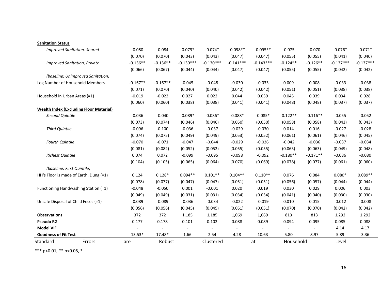| Standard                            | Errors                                         | are        | Robust     |                | Clustered      |             | at                       | Household                |                          | Level       |             |
|-------------------------------------|------------------------------------------------|------------|------------|----------------|----------------|-------------|--------------------------|--------------------------|--------------------------|-------------|-------------|
| <b>Goodness of Fit Test</b>         |                                                | $13.53*$   | 17.48*     | 1.66           | 2.54           | 4.28        | 10.63                    | 5.80                     | 8.97                     | 5.89        | 3.36        |
| <b>Model VIF</b>                    |                                                |            |            | $\blacksquare$ | $\blacksquare$ |             | $\overline{\phantom{a}}$ | $\overline{\phantom{a}}$ | $\overline{\phantom{a}}$ | 4.14        | 4.17        |
| <b>Pseudo R2</b>                    |                                                | 0.177      | 0.178      | 0.101          | 0.102          | 0.088       | 0.089                    | 0.094                    | 0.095                    | 0.085       | 0.088       |
| <b>Observations</b>                 |                                                | 372        | 372        | 1,185          | 1,185          | 1,069       | 1,069                    | 813                      | 813                      | 1,292       | 1,292       |
|                                     |                                                | (0.056)    | (0.056)    | (0.045)        | (0.045)        | (0.051)     | (0.051)                  | (0.070)                  | (0.070)                  | (0.042)     | (0.042)     |
| Unsafe Disposal of Child Feces (=1) |                                                | $-0.089$   | $-0.089$   | $-0.036$       | $-0.034$       | $-0.022$    | $-0.019$                 | 0.010                    | 0.015                    | $-0.012$    | $-0.008$    |
|                                     |                                                | (0.049)    | (0.049)    | (0.031)        | (0.031)        | (0.034)     | (0.034)                  | (0.041)                  | (0.040)                  | (0.030)     | (0.030)     |
|                                     | Functioning Handwashing Station (=1)           | $-0.048$   | $-0.050$   | 0.001          | $-0.001$       | 0.020       | 0.019                    | 0.030                    | 0.029                    | 0.006       | 0.003       |
|                                     |                                                | (0.078)    | (0.077)    | (0.047)        | (0.047)        | (0.051)     | (0.051)                  | (0.056)                  | (0.057)                  | (0.044)     | (0.044)     |
|                                     | HH's Floor is made of Earth, Dung (=1)         | 0.124      | $0.128*$   | $0.094**$      | $0.101**$      | $0.104**$   | $0.110**$                | 0.076                    | 0.084                    | $0.080*$    | $0.089**$   |
| (baseline: First Quintile)          |                                                |            |            |                |                |             |                          |                          |                          |             |             |
|                                     |                                                | (0.104)    | (0.105)    | (0.065)        | (0.064)        | (0.070)     | (0.069)                  | (0.078)                  | (0.077)                  | (0.061)     | (0.060)     |
| <b>Richest Quintile</b>             |                                                | 0.074      | 0.072      | $-0.099$       | $-0.095$       | $-0.098$    | $-0.092$                 | $-0.180**$               | $-0.171**$               | $-0.086$    | $-0.080$    |
|                                     |                                                | (0.081)    | (0.082)    | (0.052)        | (0.052)        | (0.055)     | (0.055)                  | (0.063)                  | (0.063)                  | (0.049)     | (0.048)     |
| <b>Fourth Quintile</b>              |                                                | $-0.070$   | $-0.071$   | $-0.047$       | $-0.044$       | $-0.029$    | $-0.026$                 | $-0.042$                 | $-0.036$                 | $-0.037$    | $-0.034$    |
|                                     |                                                | (0.074)    | (0.075)    | (0.049)        | (0.049)        | (0.053)     | (0.052)                  | (0.061)                  | (0.061)                  | (0.046)     | (0.045)     |
| <b>Third Quintile</b>               |                                                | $-0.096$   | $-0.100$   | $-0.036$       | $-0.037$       | $-0.029$    | $-0.030$                 | 0.014                    | 0.016                    | $-0.027$    | $-0.028$    |
|                                     |                                                | (0.073)    | (0.074)    | (0.046)        | (0.046)        | (0.050)     | (0.050)                  | (0.058)                  | (0.058)                  | (0.043)     | (0.043)     |
| Second Quintile                     | <b>Wealth Index (Excluding Floor Material)</b> | $-0.036$   | $-0.040$   | $-0.089*$      | $-0.086*$      | $-0.088*$   | $-0.085*$                | $-0.122**$               | $-0.116**$               | $-0.055$    | $-0.052$    |
|                                     |                                                | (0.060)    | (0.060)    | (0.038)        | (0.038)        | (0.041)     | (0.041)                  | (0.048)                  | (0.048)                  | (0.037)     | (0.037)     |
| Household in Urban Areas (=1)       |                                                | $-0.019$   | $-0.022$   | 0.027          | 0.022          | 0.044       | 0.039                    | 0.045                    | 0.039                    | 0.034       | 0.028       |
|                                     |                                                | (0.071)    | (0.070)    | (0.040)        | (0.040)        | (0.042)     | (0.042)                  | (0.051)                  | (0.051)                  | (0.038)     | (0.038)     |
|                                     | Log Number of Household Members                | $-0.167**$ | $-0.167**$ | $-0.045$       | $-0.048$       | $-0.030$    | $-0.033$                 | 0.009                    | 0.008                    | $-0.033$    | $-0.038$    |
|                                     | (baseline: Unimproved Sanitation)              |            |            |                |                |             |                          |                          |                          |             |             |
|                                     |                                                | (0.066)    | (0.067)    | (0.044)        | (0.044)        | (0.047)     | (0.047)                  | (0.055)                  | (0.055)                  | (0.042)     | (0.042)     |
|                                     | <b>Improved Sanitation, Private</b>            | $-0.136**$ | $-0.136**$ | $-0.130***$    | $-0.130***$    | $-0.141***$ | $-0.143***$              | $-0.124**$               | $-0.126**$               | $-0.137***$ | $-0.137***$ |
|                                     |                                                | (0.070)    | (0.070)    | (0.043)        | (0.043)        | (0.047)     | (0.047)                  | (0.055)                  | (0.055)                  | (0.041)     | (0.040)     |
|                                     | <b>Improved Sanitation, Shared</b>             | $-0.080$   | $-0.084$   | $-0.079*$      | $-0.074*$      | $-0.098**$  | $-0.095**$               | $-0.075$                 | $-0.070$                 | $-0.076*$   | $-0.071*$   |
| <b>Sanitation Status</b>            |                                                |            |            |                |                |             |                          |                          |                          |             |             |

\*\*\* p<0.01, \*\* p<0.05, \*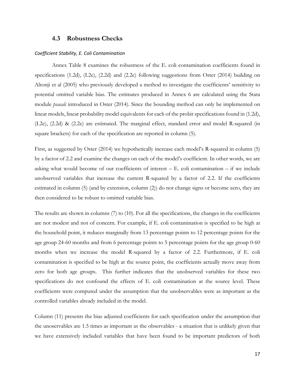#### **4.3 Robustness Checks**

#### *Coefficient Stability, E. Coli Contamination*

Annex Table 8 examines the robustness of the E. coli contamination coefficients found in specifications (1.2d), (I.2e), (2.2d) and (2.2e) following suggestions from Oster (2014) building on Altonji et al (2005) who previously developed a method to investigate the coefficients' sensitivity to potential omitted variable bias. The estimates produced in Annex 6 are calculated using the Stata module *psacalc* introduced in Oster (2014). Since the bounding method can only be implemented on linear models, linear probability model equivalents for each of the probit specifications found in (1.2d), (I.2e), (2.2d) & (2.2e) are estimated. The marginal effect, standard error and model R-squared (in square brackets) for each of the specification are reported in column (5).

First, as suggested by Oster (2014) we hypothetically increase each model's R-squared in column (5) by a factor of 2.2 and examine the changes on each of the model's coefficient. In other words, we are asking what would become of our coefficients of interest – E. coli contamination – if we include unobserved variables that increase the current R-squared by a factor of 2.2. If the coefficients estimated in column (5) (and by extension, column (2)) do not change signs or become zero, they are then considered to be robust to omitted variable bias.

The results are shown in columns (7) to (10). For all the specifications, the changes in the coefficients are not modest and not of concern. For example, if E. coli contamination is specified to be high at the household point, it reduces marginally from 13 percentage points to 12 percentage points for the age group 24-60 months and from 6 percentage points to 5 percentage points for the age group 0-60 months when we increase the model R-squared by a factor of 2.2. Furthermore, if E. coli contamination is specified to be high at the source point, the coefficients actually move away from zero for both age groups. This further indicates that the unobserved variables for these two specifications do not confound the effects of E. coli contamination at the source level. These coefficients were computed under the assumption that the unobservables were as important as the controlled variables already included in the model.

Column (11) presents the bias adjusted coefficients for each specification under the assumption that the unoservables are 1.5 times as important as the observables - a situation that is unlikely given that we have extensively included variables that have been found to be important predictors of both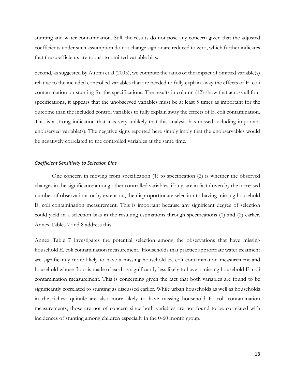stunting and water contamination. Still, the results do not pose any concern given that the adjusted coefficients under such assumption do not change sign or are reduced to zero, which further indicates that the coefficients are robust to omitted variable bias.

Second, as suggested by Altonji et al (2005), we compute the ratios of the impact of omitted variable(s) relative to the included controlled variables that are needed to fully explain away the effects of E. coli contamination on stunting for the specifications. The results in column (12) show that across all four specifications, it appears that the unobserved variables must be at least 5 times as important for the outcome than the included control variables to fully explain away the effects of E. coli contamination. This is a strong indication that it is very unlikely that this analysis has missed including important unobserved variable(s). The negative signs reported here simply imply that the unobservables would be negatively correlated to the controlled variables at the same time.

#### *Coefficient Sensitivity to Selection Bias*

One concern in moving from specification (1) to specification (2) is whether the observed changes in the significance among other controlled variables, if any, are in fact driven by the increased number of observations or by extension, the disproportionate selection to having missing household E. coli contamination measurement. This is important because any significant degree of selection could yield in a selection bias in the resulting estimations through specifications (1) and (2) earlier. Annex Tables 7 and 8 address this.

Annex Table 7 investigates the potential selection among the observations that have missing household E. coli contamination measurement. Households that practice appropriate water treatment are significantly more likely to have a missing household E. coli contamination measurement and household whose floor is made of earth is significantly less likely to have a missing household E. coli contamination measurement. This is concerning given the fact that both variables are found to be significantly correlated to stunting as discussed earlier. While urban households as well as households in the richest quintile are also more likely to have missing household E. coli contamination measurements, those are not of concern since both variables are not found to be correlated with incidences of stunting among children especially in the 0-60 month group.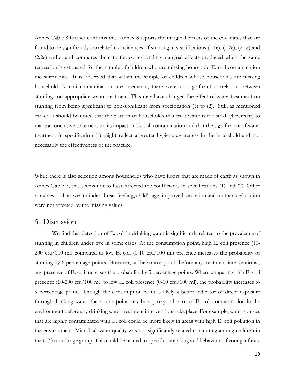Annex Table 8 further confirms this. Annex 8 reports the marginal effects of the covariates that are found to be significantly correlated to incidences of stunting in specifications (1.1e), (1.2e), (2.1e) and (2.2e) earlier and compares them to the corresponding marginal effects produced when the same regression is estimated for the sample of children who are missing household E. coli contamination measurements. It is observed that within the sample of children whose households are missing household E. coli contamination measurements, there were no significant correlation between stunting and appropriate water treatment. This may have changed the effect of water treatment on stunting from being significant to non-significant from specification (1) to (2). Still, as mentioned earlier, it should be noted that the portion of households that treat water is too small (4 percent) to make a conclusive statement on its impact on E. coli contamination and that the significance of water treatment in specification (1) might reflect a greater hygiene awareness in the household and not necessarily the effectiveness of the practice.

While there is also selection among households who have floors that are made of earth as shown in Annex Table 7, this seems not to have affected the coefficients in specifications (1) and (2). Other variables such as wealth index, breastfeeding, child's age, improved sanitation and mother's education were not affected by the missing values.

#### 5. Discussion

We find that detection of E. coli in drinking water is significantly related to the prevalence of stunting in children under five in some cases. At the consumption point, high E. coli presence (10- 200 cfu/100 ml) compared to low E. coli (0-10 cfu/100 ml) presence increases the probability of stunting by 6 percentage points. However, at the source point (before any treatment interventions), any presence of E. coli increases the probability by 5 percentage points. When comparing high E. coli presence (10-200 cfu/100 ml) to low E. coli presence (0-10 cfu/100 ml), the probability increases to 9 percentage points. Though the consumption-point is likely a better indicator of direct exposure through drinking water, the source-point may be a proxy indicator of E. coli contamination in the environment before any drinking water treatment interventions take place. For example, water sources that are highly contaminated with E. coli could be more likely in areas with high E. coli pollution in the environment. Microbial water quality was not significantly related to stunting among children in the 6-23 month age group. This could be related to specific caretaking and behaviors of young infants.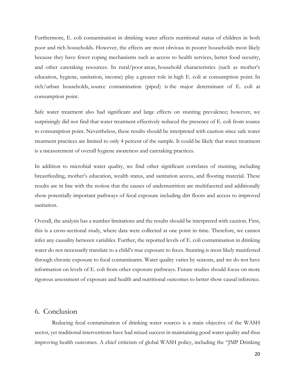Furthermore, E. coli contamination in drinking water affects nutritional status of children in both poor and rich households. However, the effects are most obvious in poorer households most likely because they have fewer coping mechanisms such as access to health services, better food security, and other caretaking resources. In rural/poor areas, household characteristics (such as mother's education, hygiene, sanitation, income) play a greater role in high E. coli at consumption point. In rich/urban households, source contamination (piped) is the major determinant of E. coli at consumption point.

Safe water treatment also had significant and large effects on stunting prevalence; however, we surprisingly did not find that water treatment effectively reduced the presence of E. coli from source to consumption point. Nevertheless, these results should be interpreted with caution since safe water treatment practices are limited to only 4 percent of the sample. It could be likely that water treatment is a measurement of overall hygiene awareness and caretaking practices.

In addition to microbial water quality, we find other significant correlates of stunting, including breastfeeding, mother's education, wealth status, and sanitation access, and flooring material. These results are in line with the notion that the causes of undernutrition are multifaceted and additionally show potentially important pathways of fecal exposure including dirt floors and access to improved sanitation.

Overall, the analysis has a number limitations and the results should be interpreted with caution. First, this is a cross-sectional study, where data were collected at one point in time. Therefore, we cannot infer any causality between variables. Further, the reported levels of E. coli contamination in drinking water do not necessarily translate to a child's true exposure to feces. Stunting is most likely manifested through chronic exposure to fecal contaminants. Water quality varies by seasons, and we do not have information on levels of E. coli from other exposure pathways. Future studies should focus on more rigorous assessment of exposure and health and nutritional outcomes to better show causal inference.

### 6. Conclusion

Reducing fecal contamination of drinking water sources is a main objective of the WASH sector, yet traditional interventions have had mixed success in maintaining good water quality and thus improving health outcomes. A chief criticism of global WASH policy, including the "JMP Drinking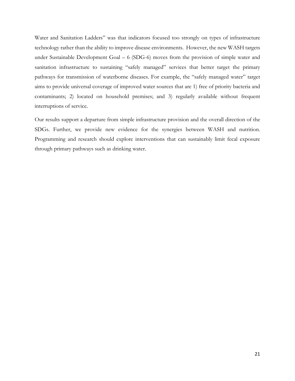Water and Sanitation Ladders" was that indicators focused too strongly on types of infrastructure technology rather than the ability to improve disease environments. However, the new WASH targets under Sustainable Development Goal – 6 (SDG-6) moves from the provision of simple water and sanitation infrastructure to sustaining "safely managed" services that better target the primary pathways for transmission of waterborne diseases. For example, the "safely managed water" target aims to provide universal coverage of improved water sources that are 1) free of priority bacteria and contaminants; 2) located on household premises; and 3) regularly available without frequent interruptions of service.

Our results support a departure from simple infrastructure provision and the overall direction of the SDGs. Further, we provide new evidence for the synergies between WASH and nutrition. Programming and research should explore interventions that can sustainably limit fecal exposure through primary pathways such as drinking water.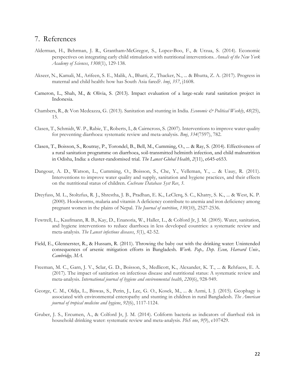# 7. References

- Alderman, H., Behrman, J. R., Grantham‐McGregor, S., Lopez‐Boo, F., & Urzua, S. (2014). Economic perspectives on integrating early child stimulation with nutritional interventions. *Annals of the New York Academy of Sciences*, *1308*(1), 129-138.
- Akseer, N., Kamali, M., Arifeen, S. E., Malik, A., Bhatti, Z., Thacker, N., ... & Bhutta, Z. A. (2017). Progress in maternal and child health: how has South Asia fared?. *bmj*, *357*, j1608.
- Cameron, L., Shah, M., & Olivia, S. (2013). Impact evaluation of a large-scale rural sanitation project in Indonesia.
- Chambers, R., & Von Medeazza, G. (2013). Sanitation and stunting in India. *Economic & Political Weekly*, *48*(25), 15.
- Clasen, T., Schmidt, W. P., Rabie, T., Roberts, I., & Cairncross, S. (2007). Interventions to improve water quality for preventing diarrhoea: systematic review and meta-analysis. *Bmj*, *334*(7597), 782.
- Clasen, T., Boisson, S., Routray, P., Torondel, B., Bell, M., Cumming, O., ... & Ray, S. (2014). Effectiveness of a rural sanitation programme on diarrhoea, soil-transmitted helminth infection, and child malnutrition in Odisha, India: a cluster-randomised trial. *The Lancet Global Health*, *2*(11), e645-e653.
- Dangour, A. D., Watson, L., Cumming, O., Boisson, S., Che, Y., Velleman, Y., ... & Uauy, R. (2011). Interventions to improve water quality and supply, sanitation and hygiene practices, and their effects on the nutritional status of children. *Cochrane Database Syst Rev*, *3*.
- Dreyfuss, M. L., Stoltzfus, R. J., Shrestha, J. B., Pradhan, E. K., LeClerq, S. C., Khatry, S. K., ... & West, K. P. (2000). Hookworms, malaria and vitamin A deficiency contribute to anemia and iron deficiency among pregnant women in the plains of Nepal. *The Journal of nutrition*, *130*(10), 2527-2536.
- Fewtrell, L., Kaufmann, R. B., Kay, D., Enanoria, W., Haller, L., & Colford Jr, J. M. (2005). Water, sanitation, and hygiene interventions to reduce diarrhoea in less developed countries: a systematic review and meta-analysis. *The Lancet infectious diseases*, *5*(1), 42-52.
- Field, E., Glennerster, R., & Hussam, R. (2011). Throwing the baby out with the drinking water: Unintended consequences of arsenic mitigation efforts in Bangladesh. *Work. Pap., Dep. Econ, Harvard Univ., Cambridge, MA*.
- Freeman, M. C., Garn, J. V., Sclar, G. D., Boisson, S., Medlicott, K., Alexander, K. T., ... & Rehfuess, E. A. (2017). The impact of sanitation on infectious disease and nutritional status: A systematic review and meta-analysis. *International journal of hygiene and environmental health*, *220*(6), 928-949.
- George, C. M., Oldja, L., Biswas, S., Perin, J., Lee, G. O., Kosek, M., ... & Azmi, I. J. (2015). Geophagy is associated with environmental enteropathy and stunting in children in rural Bangladesh. *The American journal of tropical medicine and hygiene*, *92*(6), 1117-1124.
- Gruber, J. S., Ercumen, A., & Colford Jr, J. M. (2014). Coliform bacteria as indicators of diarrheal risk in household drinking water: systematic review and meta-analysis. *PloS one*, *9*(9), e107429.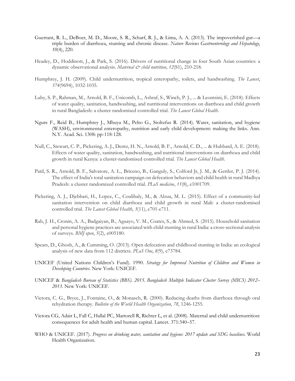- Guerrant, R. L., DeBoer, M. D., Moore, S. R., Scharf, R. J., & Lima, A. A. (2013). The impoverished gut—a triple burden of diarrhoea, stunting and chronic disease. *Nature Reviews Gastroenterology and Hepatology*, *10*(4), 220.
- Headey, D., Hoddinott, J., & Park, S. (2016). Drivers of nutritional change in four South Asian countries: a dynamic observational analysis. *Maternal & child nutrition*, *12*(S1), 210-218.
- Humphrey, J. H. (2009). Child undernutrition, tropical enteropathy, toilets, and handwashing. *The Lancet*, *374*(9694), 1032-1035.
- Luby, S. P., Rahman, M., Arnold, B. F., Unicomb, L., Ashraf, S., Winch, P. J., ... & Leontsini, E. (2018). Effects of water quality, sanitation, handwashing, and nutritional interventions on diarrhoea and child growth in rural Bangladesh: a cluster randomised controlled trial. *The Lancet Global Health*.
- Ngure F., Reid B., Humphrey J., Mbuya M., Pelto G., Stoltzfus R. (2014). Water, sanitation, and hygiene (WASH), environmental enteropathy, nutrition and early child development: making the links. Ann. N.Y. Acad. Sci. 1308: pp-118-128.
- Null, C., Stewart, C. P., Pickering, A. J., Dentz, H. N., Arnold, B. F., Arnold, C. D., ... & Hubbard, A. E. (2018). Effects of water quality, sanitation, handwashing, and nutritional interventions on diarrhoea and child growth in rural Kenya: a cluster-randomised controlled trial. *The Lancet Global Health*.
- Patil, S. R., Arnold, B. F., Salvatore, A. L., Briceno, B., Ganguly, S., Colford Jr, J. M., & Gertler, P. J. (2014). The effect of India's total sanitation campaign on defecation behaviors and child health in rural Madhya Pradesh: a cluster randomized controlled trial. *PLoS medicine*, *11*(8), e1001709.
- Pickering, A. J., Djebbari, H., Lopez, C., Coulibaly, M., & Alzua, M. L. (2015). Effect of a community-led sanitation intervention on child diarrhoea and child growth in rural Mali: a cluster-randomised controlled trial. *The Lancet Global Health*, *3*(11), e701-e711.
- Rah, J. H., Cronin, A. A., Badgaiyan, B., Aguayo, V. M., Coates, S., & Ahmed, S. (2015). Household sanitation and personal hygiene practices are associated with child stunting in rural India: a cross-sectional analysis of surveys. *BMJ open*, *5*(2), e005180.
- Spears, D., Ghosh, A., & Cumming, O. (2013). Open defecation and childhood stunting in India: an ecological analysis of new data from 112 districts. *PLoS One*, *8*(9), e73784.
- UNICEF (United Nations Children's Fund). 1990. *Strategy for Improved Nutrition of Children and Women in Developing Countries*. New York: UNICEF.
- UNICEF & *Bangladesh Bureau of Statistics (BBS). 2015. Bangladesh Multiple Indicator Cluster Survey (MICS) 2012– 2013*. New York: UNICEF.
- Victora, C. G., Bryce, J., Fontaine, O., & Monasch, R. (2000). Reducing deaths from diarrhoea through oral rehydration therapy. *Bulletin of the World Health Organization*, *78*, 1246-1255.
- Victora CG, Adair L, Fall C, Hallal PC, Martorell R, Richter L, et al. (2008). Maternal and child undernutrition: consequences for adult health and human capital. Lancet. 371:340–57.
- WHO & UNICEF. (2017). *Progress on drinking water, sanitation and hygiene: 2017 update and SDG baselines*. World Health Organization.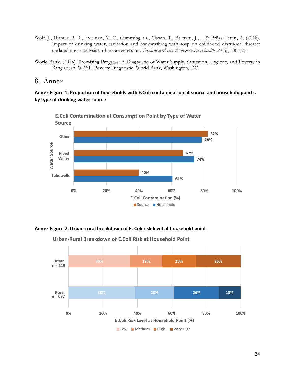- Wolf, J., Hunter, P. R., Freeman, M. C., Cumming, O., Clasen, T., Bartram, J., ... & Prüss‐Ustün, A. (2018). Impact of drinking water, sanitation and handwashing with soap on childhood diarrhoeal disease: updated meta-analysis and meta-regression. *Tropical medicine & international health*, 23(5), 508-525.
- World Bank. (2018). Promising Progress: A Diagnostic of Water Supply, Sanitation, Hygiene, and Poverty in Bangladesh. WASH Poverty Diagnostic. World Bank, Washington, DC.

#### 8. Annex

#### **Annex Figure 1: Proportion of households with E.Coli contamination at source and household points, by type of drinking water source**



**E.Coli Contamination at Consumption Point by Type of Water**

#### **Annex Figure 2: Urban‐rural breakdown of E. Coli risk level at household point**



**Urban‐Rural Breakdown of E.Coli Risk at Household Point**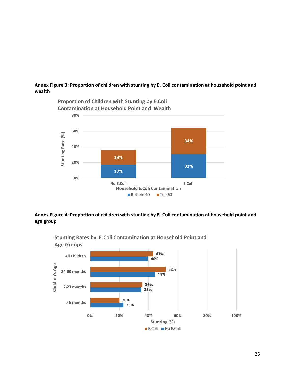#### **Annex Figure 3: Proportion of children with stunting by E. Coli contamination at household point and wealth**



#### **Annex Figure 4: Proportion of children with stunting by E. Coli contamination at household point and age group**



**Stunting Rates by E.Coli Contamination at Household Point and Age Groups**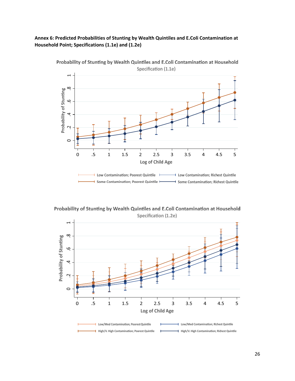#### **Annex 6: Predicted Probabilities of Stunting by Wealth Quintiles and E.Coli Contamination at Household Point; Specifications (1.1e) and (1.2e)**



Probability of Stunting by Wealth Quintiles and E.Coli Contamination at Household Specification (1.1e)

Probability of Stunting by Wealth Quintiles and E.Coli Contamination at Household Specification (1.2e)

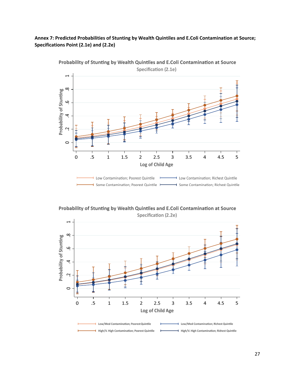#### **Annex 7: Predicted Probabilities of Stunting by Wealth Quintiles and E.Coli Contamination at Source; Specifications Point (2.1e) and (2.2e)**



Probability of Stunting by Wealth Quintiles and E.Coli Contamination at Source **Specification (2.1e)** 

Probability of Stunting by Wealth Quintiles and E.Coli Contamination at Source **Specification (2.2e)** 

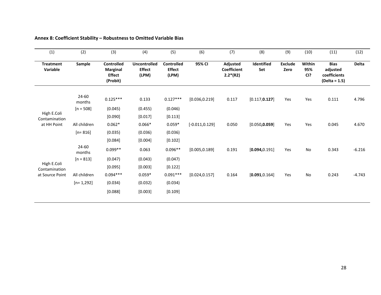| (1)                          | (2)                 | (3)                                                        | (4)                                           | (5)                                         | (6)               | (7)                                          | (8)               | (9)                    | (10)                              | (11)                                                       | (12)     |
|------------------------------|---------------------|------------------------------------------------------------|-----------------------------------------------|---------------------------------------------|-------------------|----------------------------------------------|-------------------|------------------------|-----------------------------------|------------------------------------------------------------|----------|
| <b>Treatment</b><br>Variable | Sample              | Controlled<br><b>Marginal</b><br><b>Effect</b><br>(Probit) | <b>Uncontrolled</b><br><b>Effect</b><br>(LPM) | <b>Controlled</b><br><b>Effect</b><br>(LPM) | 95% CI            | Adjusted<br><b>Coefficient</b><br>$2.2*(R2)$ | Identified<br>Set | <b>Exclude</b><br>Zero | Within<br>95%<br>C <sub>1</sub> ? | <b>Bias</b><br>adjusted<br>coefficients<br>$(Delta = 1.5)$ | Delta    |
|                              | $24 - 60$<br>months | $0.125***$                                                 | 0.133                                         | $0.127***$                                  | [0.036, 0.219]    | 0.117                                        | [0.117, 0.127]    | Yes                    | Yes                               | 0.111                                                      | 4.796    |
|                              | $[n = 508]$         | (0.045)                                                    | (0.455)                                       | (0.046)                                     |                   |                                              |                   |                        |                                   |                                                            |          |
| High E.Coli<br>Contamination |                     | [0.090]                                                    | [0.017]                                       | [0.113]                                     |                   |                                              |                   |                        |                                   |                                                            |          |
| at HH Point                  | All children        | $0.062*$                                                   | $0.066*$                                      | $0.059*$                                    | $[-0.011, 0.129]$ | 0.050                                        | [0.050, 0.059]    | Yes                    | Yes                               | 0.045                                                      | 4.670    |
|                              | $[n=816]$           | (0.035)                                                    | (0.036)                                       | (0.036)                                     |                   |                                              |                   |                        |                                   |                                                            |          |
|                              |                     | [0.084]                                                    | [0.004]                                       | [0.102]                                     |                   |                                              |                   |                        |                                   |                                                            |          |
|                              | 24-60<br>months     | $0.099**$                                                  | 0.063                                         | $0.096**$                                   | [0.005, 0.189]    | 0.191                                        | [0.094, 0.191]    | Yes                    | No                                | 0.343                                                      | $-6.216$ |
|                              | $[n = 813]$         | (0.047)                                                    | (0.043)                                       | (0.047)                                     |                   |                                              |                   |                        |                                   |                                                            |          |
| High E.Coli<br>Contamination |                     | [0.095]                                                    | [0.003]                                       | [0.122]                                     |                   |                                              |                   |                        |                                   |                                                            |          |
| at Source Point              | All children        | $0.094***$                                                 | $0.059*$                                      | $0.091***$                                  | [0.024, 0.157]    | 0.164                                        | [0.091, 0.164]    | Yes                    | No                                | 0.243                                                      | $-4.743$ |
|                              | $[n=1,292]$         | (0.034)                                                    | (0.032)                                       | (0.034)                                     |                   |                                              |                   |                        |                                   |                                                            |          |
|                              |                     | [0.088]                                                    | [0.003]                                       | [0.109]                                     |                   |                                              |                   |                        |                                   |                                                            |          |

**Annex 8: Coefficient Stability – Robustness to Omitted Variable Bias**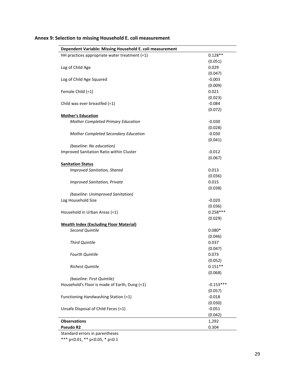| Dependent Variable: Missing Household E. coli measurement |                       |
|-----------------------------------------------------------|-----------------------|
| HH practices appropriate water treatment $(=1)$           | $0.128**$             |
|                                                           | (0.051)               |
| Log of Child Age                                          | 0.029                 |
|                                                           | (0.047)               |
| Log of Child Age Squared                                  | $-0.003$              |
|                                                           | (0.009)               |
| Female Child (=1)                                         | 0.021                 |
|                                                           | (0.023)               |
| Child was ever breastfed $(=1)$                           | $-0.084$              |
|                                                           | (0.072)               |
| <b>Mother's Education</b>                                 |                       |
| Mother Completed Primary Education                        | $-0.030$              |
|                                                           | (0.028)               |
| Mother Completed Secondary Education                      | $-0.030$              |
|                                                           | (0.041)               |
| (baseline: No education)                                  |                       |
| Improved Sanitation Ratio within Cluster                  | $-0.012$              |
|                                                           | (0.067)               |
| <b>Sanitation Status</b>                                  |                       |
| <b>Improved Sanitation, Shared</b>                        | 0.013                 |
|                                                           | (0.036)               |
| <b>Improved Sanitation, Private</b>                       | 0.015                 |
|                                                           | (0.038)               |
| (baseline: Unimproved Sanitation)                         |                       |
| Log Household Size                                        | $-0.020$              |
|                                                           | (0.036)<br>$0.258***$ |
| Household in Urban Areas (=1)                             | (0.029)               |
| <b>Wealth Index (Excluding Floor Material)</b>            |                       |
| Second Quintile                                           | $0.080*$              |
|                                                           | (0.046)               |
| <b>Third Quintile</b>                                     | 0.037                 |
|                                                           | (0.047)               |
| <b>Fourth Quintile</b>                                    | 0.073                 |
|                                                           | (0.052)               |
| <b>Richest Quintile</b>                                   | $0.151**$             |
|                                                           | (0.068)               |
| (baseline: First Quintile)                                |                       |
| Household's Floor is made of Earth, Dung (=1)             | $-0.153***$           |
|                                                           | (0.057)               |
| Functioning Handwashing Station (=1)                      | $-0.018$              |
|                                                           | (0.030)               |
| Unsafe Disposal of Child Feces (=1)                       | $-0.051$              |
|                                                           | (0.042)               |
| <b>Observations</b>                                       | 1,292                 |
| Pseudo R2                                                 | 0.304                 |
|                                                           |                       |

# **Annex 9: Selection to missing Household E. coli measurement**

Standard errors in parentheses